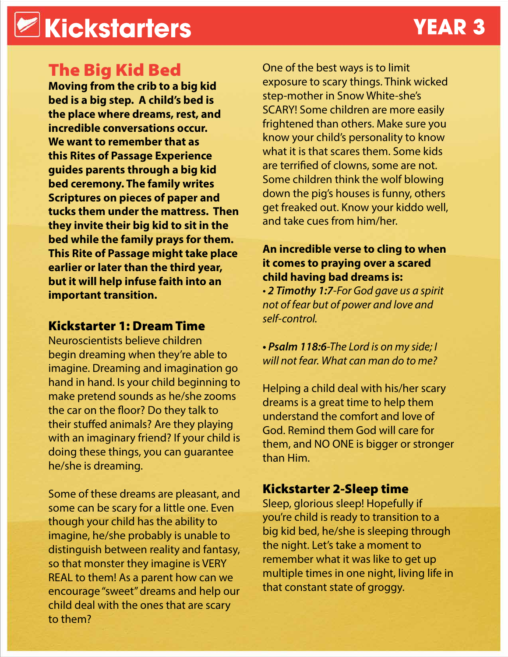## **Kickstarters YEAR 3**

### The Big Kid Bed

**Moving from the crib to a big kid bed is a big step. A child's bed is the place where dreams, rest, and incredible conversations occur. We want to remember that as this Rites of Passage Experience guides parents through a big kid bed ceremony. The family writes Scriptures on pieces of paper and tucks them under the mattress. Then they invite their big kid to sit in the bed while the family prays for them. This Rite of Passage might take place earlier or later than the third year, but it will help infuse faith into an important transition.**

#### Kickstarter 1: Dream Time

Neuroscientists believe children begin dreaming when they're able to imagine. Dreaming and imagination go hand in hand. Is your child beginning to make pretend sounds as he/she zooms the car on the floor? Do they talk to their stuffed animals? Are they playing with an imaginary friend? If your child is doing these things, you can guarantee he/she is dreaming.

Some of these dreams are pleasant, and some can be scary for a little one. Even though your child has the ability to imagine, he/she probably is unable to distinguish between reality and fantasy, so that monster they imagine is VERY REAL to them! As a parent how can we encourage "sweet" dreams and help our child deal with the ones that are scary to them?

One of the best ways is to limit exposure to scary things. Think wicked step-mother in Snow White-she's SCARY! Some children are more easily frightened than others. Make sure you know your child's personality to know what it is that scares them. Some kids are terrified of clowns, some are not. Some children think the wolf blowing down the pig's houses is funny, others get freaked out. Know your kiddo well, and take cues from him/her.

#### **An incredible verse to cling to when it comes to praying over a scared child having bad dreams is:**

*• 2 Timothy 1:7-For God gave us a spirit not of fear but of power and love and self-control.*

*• Psalm 118:6-The Lord is on my side; I will not fear. What can man do to me?*

Helping a child deal with his/her scary dreams is a great time to help them understand the comfort and love of God. Remind them God will care for them, and NO ONE is bigger or stronger than Him.

### Kickstarter 2-Sleep time

Sleep, glorious sleep! Hopefully if you're child is ready to transition to a big kid bed, he/she is sleeping through the night. Let's take a moment to remember what it was like to get up multiple times in one night, living life in that constant state of groggy.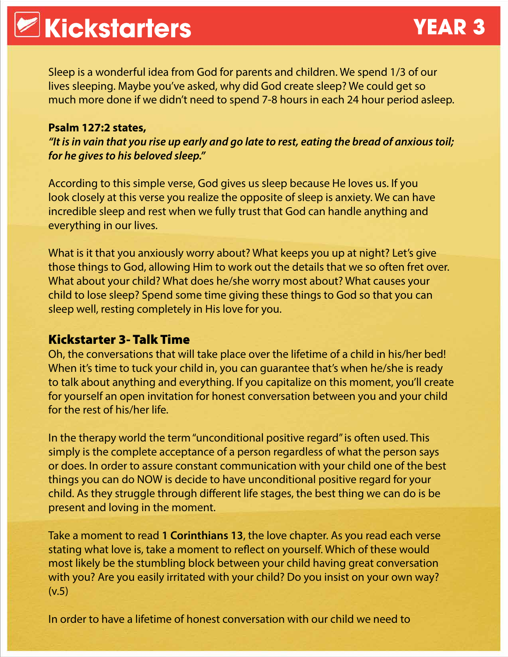Sleep is a wonderful idea from God for parents and children. We spend 1/3 of our lives sleeping. Maybe you've asked, why did God create sleep? We could get so much more done if we didn't need to spend 7-8 hours in each 24 hour period asleep.

#### **Psalm 127:2 states,**

*"It is in vain that you rise up early and go late to rest, eating the bread of anxious toil; for he gives to his beloved sleep."*

According to this simple verse, God gives us sleep because He loves us. If you look closely at this verse you realize the opposite of sleep is anxiety. We can have incredible sleep and rest when we fully trust that God can handle anything and everything in our lives.

What is it that you anxiously worry about? What keeps you up at night? Let's give those things to God, allowing Him to work out the details that we so often fret over. What about your child? What does he/she worry most about? What causes your child to lose sleep? Spend some time giving these things to God so that you can sleep well, resting completely in His love for you.

#### Kickstarter 3- Talk Time

Oh, the conversations that will take place over the lifetime of a child in his/her bed! When it's time to tuck your child in, you can guarantee that's when he/she is ready to talk about anything and everything. If you capitalize on this moment, you'll create for yourself an open invitation for honest conversation between you and your child for the rest of his/her life.

In the therapy world the term "unconditional positive regard" is often used. This simply is the complete acceptance of a person regardless of what the person says or does. In order to assure constant communication with your child one of the best things you can do NOW is decide to have unconditional positive regard for your child. As they struggle through different life stages, the best thing we can do is be present and loving in the moment.

Take a moment to read **1 Corinthians 13**, the love chapter. As you read each verse stating what love is, take a moment to reflect on yourself. Which of these would most likely be the stumbling block between your child having great conversation with you? Are you easily irritated with your child? Do you insist on your own way? (v.5)

In order to have a lifetime of honest conversation with our child we need to